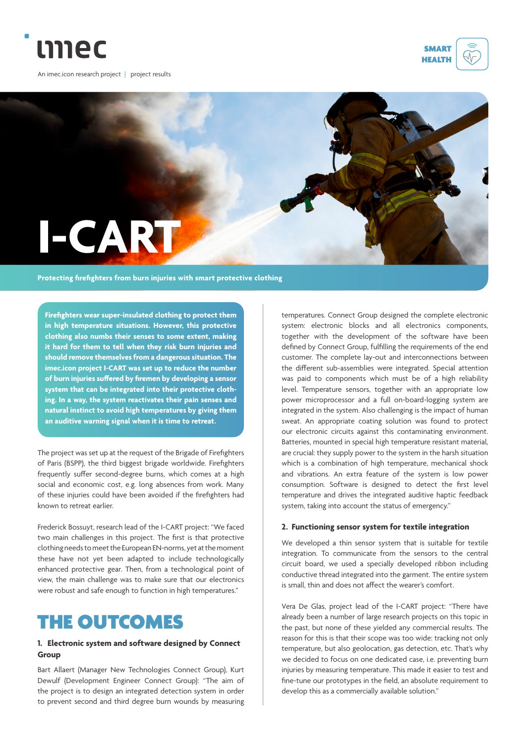

An imec.icon research project | project results





**Firefighters wear super-insulated clothing to protect them in high temperature situations. However, this protective clothing also numbs their senses to some extent, making it hard for them to tell when they risk burn injuries and should remove themselves from a dangerous situation. The imec.icon project I-CART was set up to reduce the number of burn injuries suffered by firemen by developing a sensor system that can be integrated into their protective clothing. In a way, the system reactivates their pain senses and natural instinct to avoid high temperatures by giving them an auditive warning signal when it is time to retreat.**

The project was set up at the request of the Brigade of Firefighters of Paris (BSPP), the third biggest brigade worldwide. Firefighters frequently suffer second-degree burns, which comes at a high social and economic cost, e.g. long absences from work. Many of these injuries could have been avoided if the firefighters had known to retreat earlier.

Frederick Bossuyt, research lead of the I-CART project: "We faced two main challenges in this project. The first is that protective clothing needs to meet the European EN-norms, yet at the moment these have not yet been adapted to include technologically enhanced protective gear. Then, from a technological point of view, the main challenge was to make sure that our electronics were robust and safe enough to function in high temperatures."

# THE OUTCOMES

#### **1. Electronic system and software designed by Connect Group**

Bart Allaert (Manager New Technologies Connect Group), Kurt Dewulf (Development Engineer Connect Group): "The aim of the project is to design an integrated detection system in order to prevent second and third degree burn wounds by measuring temperatures. Connect Group designed the complete electronic system: electronic blocks and all electronics components, together with the development of the software have been defined by Connect Group, fulfilling the requirements of the end customer. The complete lay-out and interconnections between the different sub-assemblies were integrated. Special attention was paid to components which must be of a high reliability level. Temperature sensors, together with an appropriate low power microprocessor and a full on-board-logging system are integrated in the system. Also challenging is the impact of human sweat. An appropriate coating solution was found to protect our electronic circuits against this contaminating environment. Batteries, mounted in special high temperature resistant material, are crucial: they supply power to the system in the harsh situation which is a combination of high temperature, mechanical shock and vibrations. An extra feature of the system is low power consumption. Software is designed to detect the first level temperature and drives the integrated auditive haptic feedback system, taking into account the status of emergency."

#### **2. Functioning sensor system for textile integration**

We developed a thin sensor system that is suitable for textile integration. To communicate from the sensors to the central circuit board, we used a specially developed ribbon including conductive thread integrated into the garment. The entire system is small, thin and does not affect the wearer's comfort.

Vera De Glas, project lead of the I-CART project: "There have already been a number of large research projects on this topic in the past, but none of these yielded any commercial results. The reason for this is that their scope was too wide: tracking not only temperature, but also geolocation, gas detection, etc. That's why we decided to focus on one dedicated case, i.e. preventing burn injuries by measuring temperature. This made it easier to test and fine-tune our prototypes in the field, an absolute requirement to develop this as a commercially available solution."